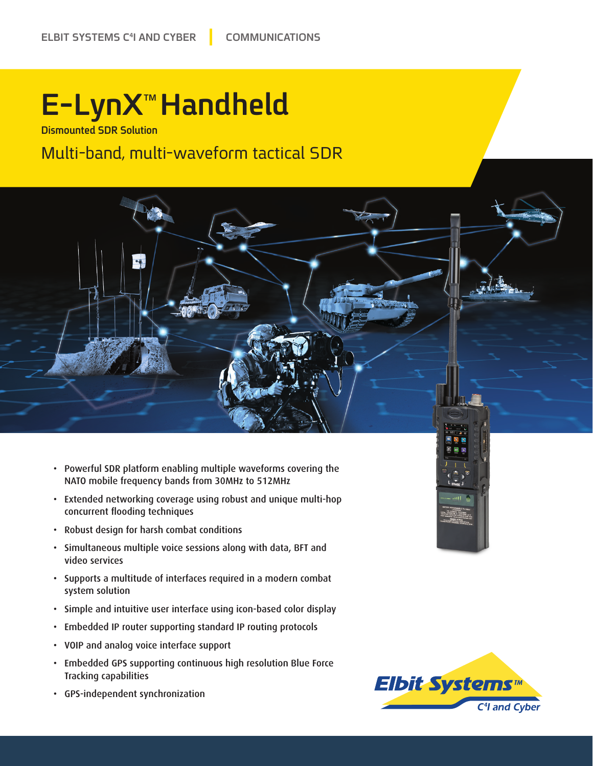## **E-LynX<sup>™</sup>Handheld**

**Dismounted SDR Solution** 

#### Multi-band, multi-waveform tactical SDR



- Extended networking coverage using robust and unique multi-hop concurrent flooding techniques
- Robust design for harsh combat conditions
- Simultaneous multiple voice sessions along with data, BFT and video services
- Supports a multitude of interfaces required in a modern combat system solution
- Simple and intuitive user interface using icon-based color display
- Embedded IP router supporting standard IP routing protocols
- VOIP and analog voice interface support
- Embedded GPS supporting continuous high resolution Blue Force Tracking capabilities
- GPS-independent synchronization